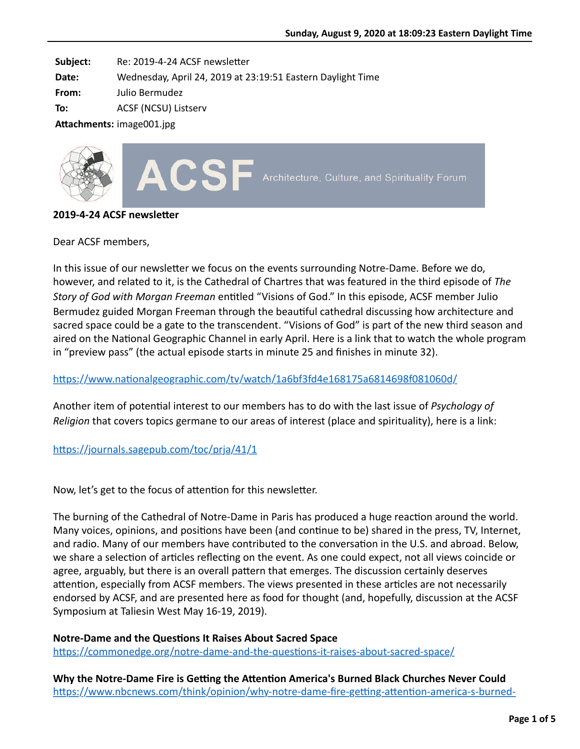**Subject:** Re: 2019-4-24 ACSF newsletter

**Date:** Wednesday, April 24, 2019 at 23:19:51 Eastern Daylight Time

**From:** Julio Bermudez

**To:** ACSF (NCSU) Listserv

Attachments: image001.jpg



#### **2019-4-24 ACSF newsletter**

Dear ACSF members,

In this issue of our newsletter we focus on the events surrounding Notre-Dame. Before we do, however, and related to it, is the Cathedral of Chartres that was featured in the third episode of *The Story of God with Morgan Freeman* entitled "Visions of God." In this episode, ACSF member Julio Bermudez guided Morgan Freeman through the beautiful cathedral discussing how architecture and sacred space could be a gate to the transcendent. "Visions of God" is part of the new third season and aired on the National Geographic Channel in early April. Here is a link that to watch the whole program in "preview pass" (the actual episode starts in minute 25 and finishes in minute 32).

# https://www.nationalgeographic.com/tv/watch/1a6bf3fd4e168175a6814698f081060d/

Another item of potential interest to our members has to do with the last issue of *Psychology of Religion* that covers topics germane to our areas of interest (place and spirituality), here is a link:

# https://journals.sagepub.com/toc/prja/41/1

Now, let's get to the focus of attention for this newsletter.

The burning of the Cathedral of Notre-Dame in Paris has produced a huge reaction around the world. Many voices, opinions, and positions have been (and continue to be) shared in the press, TV, Internet, and radio. Many of our members have contributed to the conversation in the U.S. and abroad. Below, we share a selection of articles reflecting on the event. As one could expect, not all views coincide or agree, arguably, but there is an overall pattern that emerges. The discussion certainly deserves attention, especially from ACSF members. The views presented in these articles are not necessarily endorsed by ACSF, and are presented here as food for thought (and, hopefully, discussion at the ACSF Symposium at Taliesin West May 16-19, 2019).

# **Notre-Dame and the Questions It Raises About Sacred Space**

https://commonedge.org/notre-dame-and-the-questions-it-raises-about-sacred-space/

**Why the Notre-Dame Fire is Getting the Attention America's Burned Black Churches Never Could** https://www.nbcnews.com/think/opinion/why-notre-dame-fire-getting-attention-america-s-burned-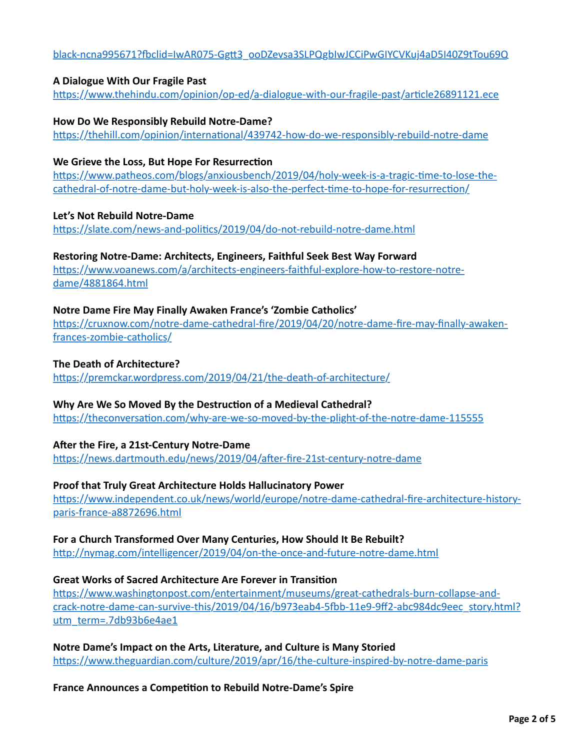# black-ncna995671?fbclid=IwAR075-Ggtt3\_ooDZevsa3SLPQgbIwJCCiPwGIYCVKuj4aD5I40Z9tTou69Q

### **A Dialogue With Our Fragile Past**

https://www.thehindu.com/opinion/op-ed/a-dialogue-with-our-fragile-past/article26891121.ece

### **How Do We Responsibly Rebuild Notre-Dame?**

https://thehill.com/opinion/international/439742-how-do-we-responsibly-rebuild-notre-dame

### **We Grieve the Loss, But Hope For Resurrection**

https://www.patheos.com/blogs/anxiousbench/2019/04/holy-week-is-a-tragic-time-to-lose-thecathedral-of-notre-dame-but-holy-week-is-also-the-perfect-time-to-hope-for-resurrection/

# **Let's Not Rebuild Notre-Dame**

https://slate.com/news-and-politics/2019/04/do-not-rebuild-notre-dame.html

# **Restoring Notre-Dame: Architects, Engineers, Faithful Seek Best Way Forward**

https://www.voanews.com/a/architects-engineers-faithful-explore-how-to-restore-notredame/4881864.html

# **Notre Dame Fire May Finally Awaken France's 'Zombie Catholics'**

https://cruxnow.com/notre-dame-cathedral-fire/2019/04/20/notre-dame-fire-may-finally-awakenfrances-zombie-catholics/

# **The Death of Architecture?**

https://premckar.wordpress.com/2019/04/21/the-death-of-architecture/

# Why Are We So Moved By the Destruction of a Medieval Cathedral?

https://theconversation.com/why-are-we-so-moved-by-the-plight-of-the-notre-dame-115555

#### **A\_er the Fire, a 21st-Century Notre-Dame**

https://news.dartmouth.edu/news/2019/04/after-fire-21st-century-notre-dame

#### **Proof that Truly Great Architecture Holds Hallucinatory Power**

https://www.independent.co.uk/news/world/europe/notre-dame-cathedral-fire-architecture-historyparis-france-a8872696.html

#### **For a Church Transformed Over Many Centuries, How Should It Be Rebuilt?**

http://nymag.com/intelligencer/2019/04/on-the-once-and-future-notre-dame.html

# **Great Works of Sacred Architecture Are Forever in Transition**

https://www.washingtonpost.com/entertainment/museums/great-cathedrals-burn-collapse-andcrack-notre-dame-can-survive-this/2019/04/16/b973eab4-5fbb-11e9-9ff2-abc984dc9eec\_story.html? utm\_term=.7db93b6e4ae1

**Notre Dame's Impact on the Arts, Literature, and Culture is Many Storied** https://www.theguardian.com/culture/2019/apr/16/the-culture-inspired-by-notre-dame-paris

#### **France Announces a Competition to Rebuild Notre-Dame's Spire**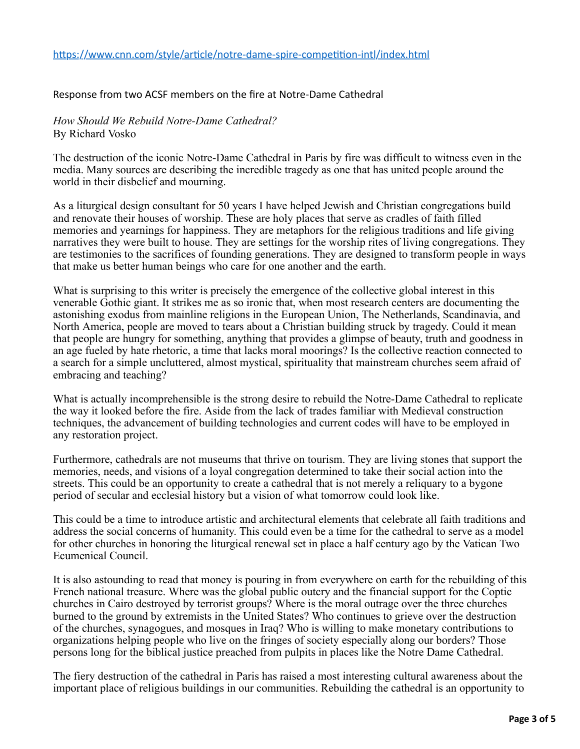#### Response from two ACSF members on the fire at Notre-Dame Cathedral

#### *How Should We Rebuild Notre-Dame Cathedral?* By Richard Vosko

The destruction of the iconic Notre-Dame Cathedral in Paris by fire was difficult to witness even in the media. Many sources are describing the incredible tragedy as one that has united people around the world in their disbelief and mourning.

As a liturgical design consultant for 50 years I have helped Jewish and Christian congregations build and renovate their houses of worship. These are holy places that serve as cradles of faith filled memories and yearnings for happiness. They are metaphors for the religious traditions and life giving narratives they were built to house. They are settings for the worship rites of living congregations. They are testimonies to the sacrifices of founding generations. They are designed to transform people in ways that make us better human beings who care for one another and the earth.

What is surprising to this writer is precisely the emergence of the collective global interest in this venerable Gothic giant. It strikes me as so ironic that, when most research centers are documenting the astonishing exodus from mainline religions in the European Union, The Netherlands, Scandinavia, and North America, people are moved to tears about a Christian building struck by tragedy. Could it mean that people are hungry for something, anything that provides a glimpse of beauty, truth and goodness in an age fueled by hate rhetoric, a time that lacks moral moorings? Is the collective reaction connected to a search for a simple uncluttered, almost mystical, spirituality that mainstream churches seem afraid of embracing and teaching?

What is actually incomprehensible is the strong desire to rebuild the Notre-Dame Cathedral to replicate the way it looked before the fire. Aside from the lack of trades familiar with Medieval construction techniques, the advancement of building technologies and current codes will have to be employed in any restoration project.

Furthermore, cathedrals are not museums that thrive on tourism. They are living stones that support the memories, needs, and visions of a loyal congregation determined to take their social action into the streets. This could be an opportunity to create a cathedral that is not merely a reliquary to a bygone period of secular and ecclesial history but a vision of what tomorrow could look like.

This could be a time to introduce artistic and architectural elements that celebrate all faith traditions and address the social concerns of humanity. This could even be a time for the cathedral to serve as a model for other churches in honoring the liturgical renewal set in place a half century ago by the Vatican Two Ecumenical Council.

It is also astounding to read that money is pouring in from everywhere on earth for the rebuilding of this French national treasure. Where was the global public outcry and the financial support for the Coptic churches in Cairo destroyed by terrorist groups? Where is the moral outrage over the three churches burned to the ground by extremists in the United States? Who continues to grieve over the destruction of the churches, synagogues, and mosques in Iraq? Who is willing to make monetary contributions to organizations helping people who live on the fringes of society especially along our borders? Those persons long for the biblical justice preached from pulpits in places like the Notre Dame Cathedral.

The fiery destruction of the cathedral in Paris has raised a most interesting cultural awareness about the important place of religious buildings in our communities. Rebuilding the cathedral is an opportunity to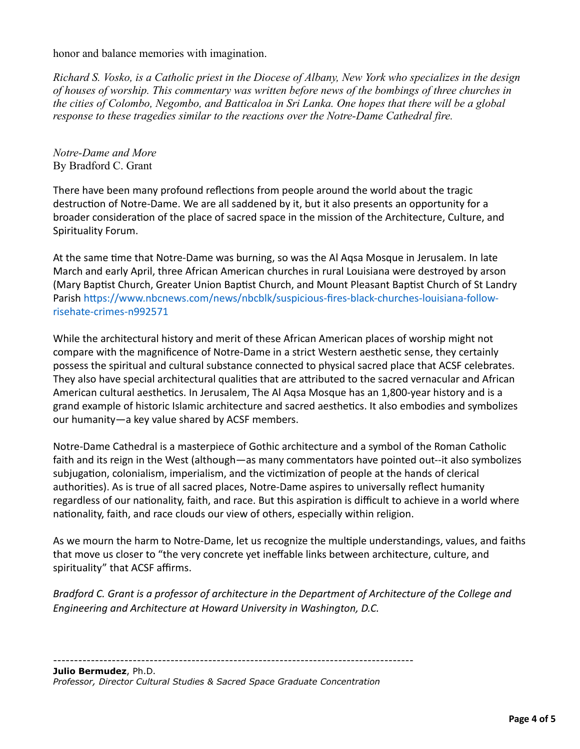honor and balance memories with imagination.

*Richard S. Vosko, is a Catholic priest in the Diocese of Albany, New York who specializes in the design of houses of worship. This commentary was written before news of the bombings of three churches in the cities of Colombo, Negombo, and Batticaloa in Sri Lanka. One hopes that there will be a global response to these tragedies similar to the reactions over the Notre-Dame Cathedral fire.*

*Notre-Dame and More* By Bradford C. Grant

There have been many profound reflections from people around the world about the tragic destruction of Notre-Dame. We are all saddened by it, but it also presents an opportunity for a broader consideration of the place of sacred space in the mission of the Architecture, Culture, and Spirituality Forum.

At the same time that Notre-Dame was burning, so was the Al Aqsa Mosque in Jerusalem. In late March and early April, three African American churches in rural Louisiana were destroyed by arson (Mary Baptist Church, Greater Union Baptist Church, and Mount Pleasant Baptist Church of St Landry Parish https://www.nbcnews.com/news/nbcblk/suspicious-fires-black-churches-louisiana-followrisehate-crimes-n992571

While the architectural history and merit of these African American places of worship might not compare with the magnificence of Notre-Dame in a strict Western aesthetic sense, they certainly possess the spiritual and cultural substance connected to physical sacred place that ACSF celebrates. They also have special architectural qualities that are attributed to the sacred vernacular and African American cultural aesthetics. In Jerusalem, The Al Aqsa Mosque has an 1,800-year history and is a grand example of historic Islamic architecture and sacred aesthetics. It also embodies and symbolizes our humanity—a key value shared by ACSF members.

Notre-Dame Cathedral is a masterpiece of Gothic architecture and a symbol of the Roman Catholic faith and its reign in the West (although—as many commentators have pointed out--it also symbolizes subjugation, colonialism, imperialism, and the victimization of people at the hands of clerical authorities). As is true of all sacred places, Notre-Dame aspires to universally reflect humanity regardless of our nationality, faith, and race. But this aspiration is difficult to achieve in a world where nationality, faith, and race clouds our view of others, especially within religion.

As we mourn the harm to Notre-Dame, let us recognize the multiple understandings, values, and faiths that move us closer to "the very concrete yet ineffable links between architecture, culture, and spirituality" that ACSF affirms.

*Bradford C. Grant is a professor of architecture in the Department of Architecture of the College and Engineering and Architecture at Howard University in Washington, D.C.*

--------------------------------------------------------------------------------------

**Julio Bermudez**, Ph.D. *Professor, Director Cultural Studies & Sacred Space Graduate Concentration*